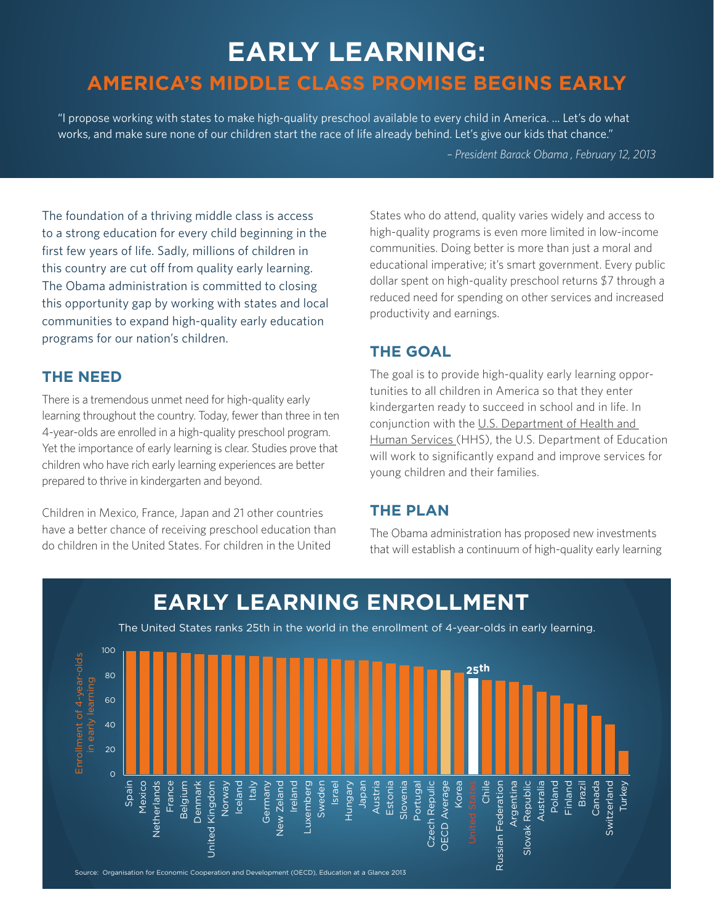# **EARLY LEARNING: AMERICA'S MIDDLE CLASS PROMISE BEGINS EARLY**

"I propose working with states to make high-quality preschool available to every child in America. ... Let's do what works, and make sure none of our children start the race of life already behind. Let's give our kids that chance."

 *– President Barack Obama , February 12, 2013*

The foundation of a thriving middle class is access to a strong education for every child beginning in the first few years of life. Sadly, millions of children in this country are cut off from quality early learning. The Obama administration is committed to closing this opportunity gap by working with states and local communities to expand high-quality early education programs for our nation's children.

#### **THE NEED**

There is a tremendous unmet need for high-quality early learning throughout the country. Today, fewer than three in ten 4-year-olds are enrolled in a high-quality preschool program. Yet the importance of early learning is clear. Studies prove that children who have rich early learning experiences are better prepared to thrive in kindergarten and beyond.

Children in Mexico, France, Japan and 21 other countries have a better chance of receiving preschool education than do children in the United States. For children in the United

States who do attend, quality varies widely and access to high-quality programs is even more limited in low-income communities. Doing better is more than just a moral and educational imperative; it's smart government. Every public dollar spent on high-quality preschool returns \$7 through a reduced need for spending on other services and increased productivity and earnings.

## **THE GOAL**

The goal is to provide high-quality early learning opportunities to all children in America so that they enter kindergarten ready to succeed in school and in life. In conjunction with the U.S. Department of Health and Human Services (HHS), the U.S. Department of Education will work to significantly expand and improve services for young children and their families.

#### **THE PLAN**

The Obama administration has proposed new investments that will establish a continuum of high-quality early learning